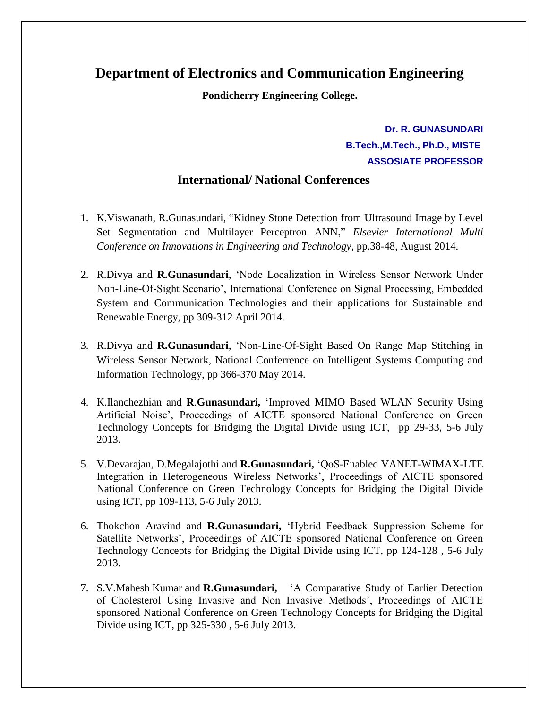## **Department of Electronics and Communication Engineering**

**Pondicherry Engineering College.**

**Dr. R. GUNASUNDARI B.Tech.,M.Tech., Ph.D., MISTE ASSOSIATE PROFESSOR**

## **International/ National Conferences**

- 1. K.Viswanath, R.Gunasundari, "Kidney Stone Detection from Ultrasound Image by Level Set Segmentation and Multilayer Perceptron ANN," *Elsevier International Multi Conference on Innovations in Engineering and Technology,* pp.38-48, August 2014.
- 2. R.Divya and **R.Gunasundari**, "Node Localization in Wireless Sensor Network Under Non-Line-Of-Sight Scenario", International Conference on Signal Processing, Embedded System and Communication Technologies and their applications for Sustainable and Renewable Energy, pp 309-312 April 2014.
- 3. R.Divya and **R.Gunasundari**, "Non-Line-Of-Sight Based On Range Map Stitching in Wireless Sensor Network, National Conferrence on Intelligent Systems Computing and Information Technology, pp 366-370 May 2014.
- 4. K.Ilanchezhian and **R**.**Gunasundari,** "Improved MIMO Based WLAN Security Using Artificial Noise", Proceedings of AICTE sponsored National Conference on Green Technology Concepts for Bridging the Digital Divide using ICT, pp 29-33, 5-6 July 2013.
- 5. V.Devarajan, D.Megalajothi and **R.Gunasundari,** "QoS-Enabled VANET-WIMAX-LTE Integration in Heterogeneous Wireless Networks", Proceedings of AICTE sponsored National Conference on Green Technology Concepts for Bridging the Digital Divide using ICT, pp 109-113, 5-6 July 2013.
- 6. Thokchon Aravind and **R.Gunasundari,** "Hybrid Feedback Suppression Scheme for Satellite Networks", Proceedings of AICTE sponsored National Conference on Green Technology Concepts for Bridging the Digital Divide using ICT, pp 124-128 , 5-6 July 2013.
- 7. S.V.Mahesh Kumar and **R.Gunasundari,** "A Comparative Study of Earlier Detection of Cholesterol Using Invasive and Non Invasive Methods", Proceedings of AICTE sponsored National Conference on Green Technology Concepts for Bridging the Digital Divide using ICT, pp 325-330 , 5-6 July 2013.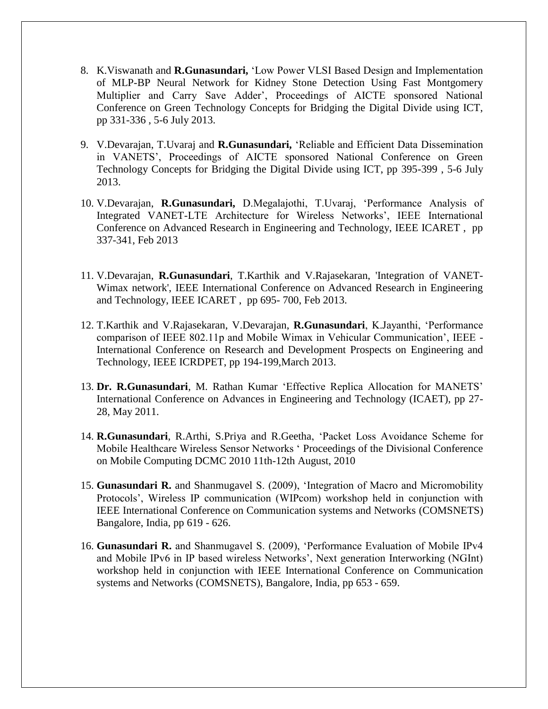- 8. K.Viswanath and **R.Gunasundari,** "Low Power VLSI Based Design and Implementation of MLP-BP Neural Network for Kidney Stone Detection Using Fast Montgomery Multiplier and Carry Save Adder", Proceedings of AICTE sponsored National Conference on Green Technology Concepts for Bridging the Digital Divide using ICT, pp 331-336 , 5-6 July 2013.
- 9. V.Devarajan, T.Uvaraj and **R.Gunasundari,** "Reliable and Efficient Data Dissemination in VANETS", Proceedings of AICTE sponsored National Conference on Green Technology Concepts for Bridging the Digital Divide using ICT, pp 395-399 , 5-6 July 2013.
- 10. V.Devarajan, **R.Gunasundari,** D.Megalajothi, T.Uvaraj, "Performance Analysis of Integrated VANET-LTE Architecture for Wireless Networks", IEEE International Conference on Advanced Research in Engineering and Technology, IEEE ICARET , pp 337-341, Feb 2013
- 11. V.Devarajan, **R.Gunasundari**, T.Karthik and V.Rajasekaran, 'Integration of VANET-Wimax network', IEEE International Conference on Advanced Research in Engineering and Technology, IEEE ICARET , pp 695- 700, Feb 2013.
- 12. T.Karthik and V.Rajasekaran, V.Devarajan, **R.Gunasundari**, K.Jayanthi, "Performance comparison of IEEE 802.11p and Mobile Wimax in Vehicular Communication", IEEE - International Conference on Research and Development Prospects on Engineering and Technology, IEEE ICRDPET, pp 194-199,March 2013.
- 13. **Dr. R.Gunasundari**, M. Rathan Kumar "Effective Replica Allocation for MANETS" International Conference on Advances in Engineering and Technology (ICAET), pp 27- 28, May 2011.
- 14. **R.Gunasundari**, R.Arthi, S.Priya and R.Geetha, "Packet Loss Avoidance Scheme for Mobile Healthcare Wireless Sensor Networks " Proceedings of the Divisional Conference on Mobile Computing DCMC 2010 11th-12th August, 2010
- 15. **Gunasundari R.** and Shanmugavel S. (2009), "Integration of Macro and Micromobility Protocols", Wireless IP communication (WIPcom) workshop held in conjunction with IEEE International Conference on Communication systems and Networks (COMSNETS) Bangalore, India, pp 619 - 626.
- 16. **Gunasundari R.** and Shanmugavel S. (2009), "Performance Evaluation of Mobile IPv4 and Mobile IPv6 in IP based wireless Networks', Next generation Interworking (NGInt) workshop held in conjunction with IEEE International Conference on Communication systems and Networks (COMSNETS), Bangalore, India, pp 653 - 659.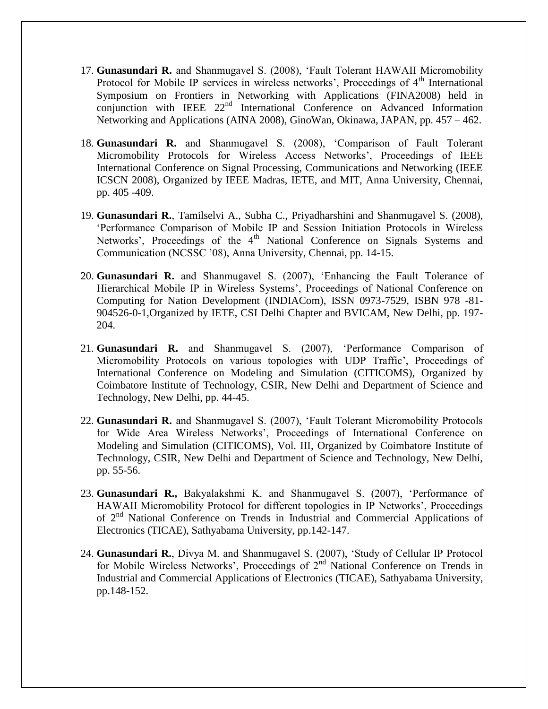- 17. **Gunasundari R.** and Shanmugavel S. (2008), "Fault Tolerant HAWAII Micromobility Protocol for Mobile IP services in wireless networks', Proceedings of  $4<sup>th</sup>$  International Symposium on Frontiers in Networking with Applications (FINA2008) held in conjunction with IEEE  $22<sup>nd</sup>$  International Conference on Advanced Information Networking and Applications (AINA 2008), [GinoWan,](http://www.tuwien.ac.at/english/) [Okinawa,](http://www.ocvb.or.jp/index.php?current=General_Page&action=Top_Page&mode=isel&lang=en) [JAPAN,](http://www.austria-tourism.biz/) pp. 457 – 462.
- 18. **Gunasundari R.** and Shanmugavel S. (2008), "Comparison of Fault Tolerant Micromobility Protocols for Wireless Access Networks', Proceedings of IEEE International Conference on Signal Processing, Communications and Networking (IEEE ICSCN 2008), Organized by IEEE Madras, IETE, and MIT, Anna University, Chennai, pp. 405 -409.
- 19. **Gunasundari R.**, Tamilselvi A., Subha C., Priyadharshini and Shanmugavel S. (2008), "Performance Comparison of Mobile IP and Session Initiation Protocols in Wireless Networks', Proceedings of the  $4<sup>th</sup>$  National Conference on Signals Systems and Communication (NCSSC "08), Anna University, Chennai, pp. 14-15.
- 20. **Gunasundari R.** and Shanmugavel S. (2007), "Enhancing the Fault Tolerance of Hierarchical Mobile IP in Wireless Systems', Proceedings of National Conference on Computing for Nation Development (INDIACom), ISSN 0973-7529, ISBN 978 -81- 904526-0-1,Organized by IETE, CSI Delhi Chapter and BVICAM, New Delhi, pp. 197- 204.
- 21. **Gunasundari R.** and Shanmugavel S. (2007), "Performance Comparison of Micromobility Protocols on various topologies with UDP Traffic', Proceedings of International Conference on Modeling and Simulation (CITICOMS), Organized by Coimbatore Institute of Technology, CSIR, New Delhi and Department of Science and Technology, New Delhi, pp. 44-45.
- 22. **Gunasundari R.** and Shanmugavel S. (2007), "Fault Tolerant Micromobility Protocols for Wide Area Wireless Networks", Proceedings of International Conference on Modeling and Simulation (CITICOMS), Vol. III, Organized by Coimbatore Institute of Technology, CSIR, New Delhi and Department of Science and Technology, New Delhi, pp. 55-56.
- 23. **Gunasundari R.,** Bakyalakshmi K. and Shanmugavel S. (2007), "Performance of HAWAII Micromobility Protocol for different topologies in IP Networks", Proceedings of 2<sup>nd</sup> National Conference on Trends in Industrial and Commercial Applications of Electronics (TICAE), Sathyabama University, pp.142-147.
- 24. **Gunasundari R.**, Divya M. and Shanmugavel S. (2007), "Study of Cellular IP Protocol for Mobile Wireless Networks', Proceedings of 2<sup>nd</sup> National Conference on Trends in Industrial and Commercial Applications of Electronics (TICAE), Sathyabama University, pp.148-152.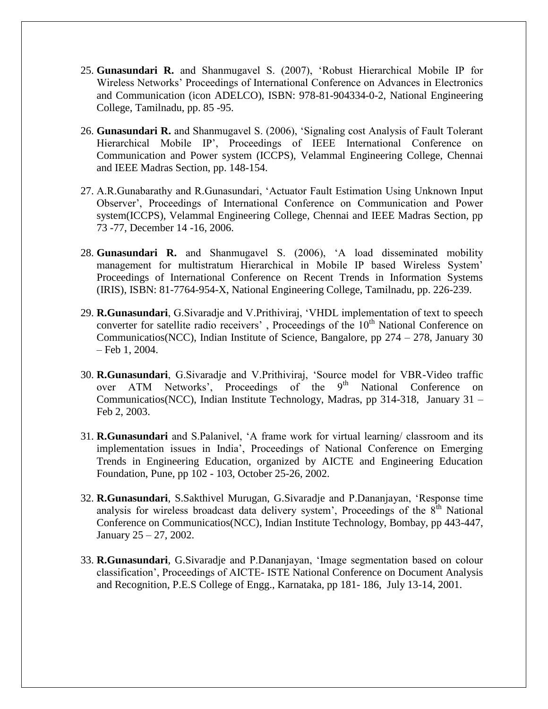- 25. **Gunasundari R.** and Shanmugavel S. (2007), "Robust Hierarchical Mobile IP for Wireless Networks" Proceedings of International Conference on Advances in Electronics and Communication (icon ADELCO), ISBN: 978-81-904334-0-2, National Engineering College, Tamilnadu, pp. 85 -95.
- 26. **Gunasundari R.** and Shanmugavel S. (2006), "Signaling cost Analysis of Fault Tolerant Hierarchical Mobile IP", Proceedings of IEEE International Conference on Communication and Power system (ICCPS), Velammal Engineering College, Chennai and IEEE Madras Section, pp. 148-154.
- 27. A.R.Gunabarathy and R.Gunasundari, "Actuator Fault Estimation Using Unknown Input Observer", Proceedings of International Conference on Communication and Power system(ICCPS), Velammal Engineering College, Chennai and IEEE Madras Section, pp 73 -77, December 14 -16, 2006.
- 28. **Gunasundari R.** and Shanmugavel S. (2006), "A load disseminated mobility management for multistratum Hierarchical in Mobile IP based Wireless System" Proceedings of International Conference on Recent Trends in Information Systems (IRIS), ISBN: 81-7764-954-X, National Engineering College, Tamilnadu, pp. 226-239.
- 29. **R.Gunasundari**, G.Sivaradje and V.Prithiviraj, "VHDL implementation of text to speech converter for satellite radio receivers', Proceedings of the 10<sup>th</sup> National Conference on Communicatios(NCC), Indian Institute of Science, Bangalore, pp 274 – 278, January 30 – Feb 1, 2004.
- 30. **R.Gunasundari**, G.Sivaradje and V.Prithiviraj, "Source model for VBR-Video traffic over ATM Networks', Proceedings of the 9<sup>th</sup> National Conference on Communicatios(NCC), Indian Institute Technology, Madras, pp 314-318, January 31 – Feb 2, 2003.
- 31. **R.Gunasundari** and S.Palanivel, "A frame work for virtual learning/ classroom and its implementation issues in India", Proceedings of National Conference on Emerging Trends in Engineering Education, organized by AICTE and Engineering Education Foundation, Pune, pp 102 - 103, October 25-26, 2002.
- 32. **R.Gunasundari**, S.Sakthivel Murugan, G.Sivaradje and P.Dananjayan, "Response time analysis for wireless broadcast data delivery system', Proceedings of the  $8<sup>th</sup>$  National Conference on Communicatios(NCC), Indian Institute Technology, Bombay, pp 443-447, January 25 – 27, 2002.
- 33. **R.Gunasundari**, G.Sivaradje and P.Dananjayan, "Image segmentation based on colour classification", Proceedings of AICTE- ISTE National Conference on Document Analysis and Recognition, P.E.S College of Engg., Karnataka, pp 181- 186, July 13-14, 2001.